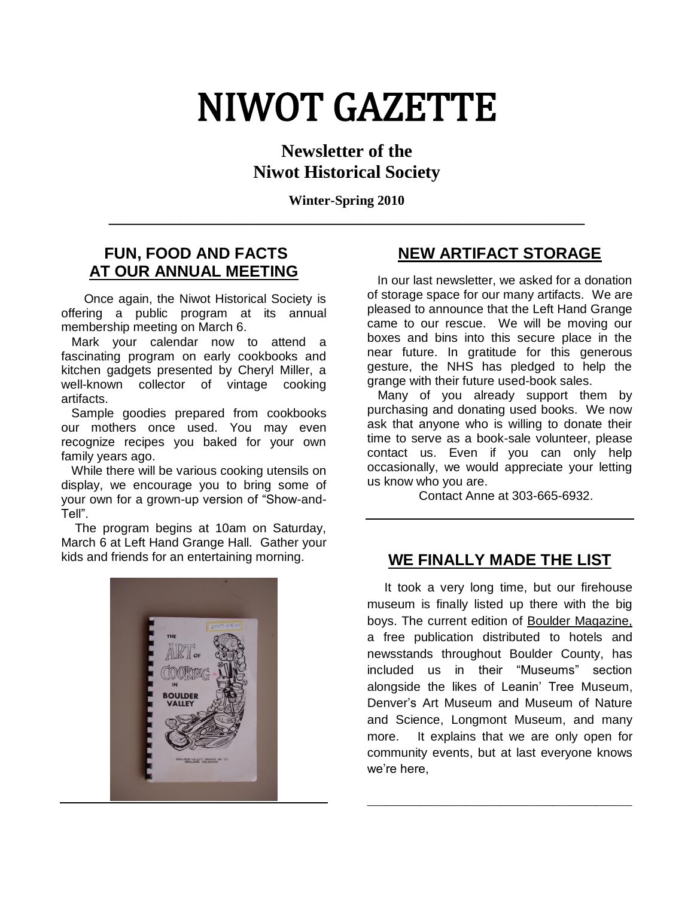# NIWOT GAZETTE

## **Newsletter of the Niwot Historical Society**

**Winter-Spring 2010 \_\_\_\_\_\_\_\_\_\_\_\_\_\_\_\_\_\_\_\_\_\_\_\_\_\_\_\_\_\_\_\_\_\_\_\_\_\_\_\_\_\_\_\_\_\_\_\_\_\_\_\_\_\_\_\_\_\_\_\_**

#### **FUN, FOOD AND FACTS AT OUR ANNUAL MEETING**

 Once again, the Niwot Historical Society is offering a public program at its annual membership meeting on March 6.

 Mark your calendar now to attend a fascinating program on early cookbooks and kitchen gadgets presented by Cheryl Miller, a well-known collector of vintage cooking artifacts.

 Sample goodies prepared from cookbooks our mothers once used. You may even recognize recipes you baked for your own family years ago.

 While there will be various cooking utensils on display, we encourage you to bring some of your own for a grown-up version of "Show-and-Tell".

 The program begins at 10am on Saturday, March 6 at Left Hand Grange Hall. Gather your kids and friends for an entertaining morning.



## **NEW ARTIFACT STORAGE**

 In our last newsletter, we asked for a donation of storage space for our many artifacts. We are pleased to announce that the Left Hand Grange came to our rescue. We will be moving our boxes and bins into this secure place in the near future. In gratitude for this generous gesture, the NHS has pledged to help the grange with their future used-book sales.

 Many of you already support them by purchasing and donating used books. We now ask that anyone who is willing to donate their time to serve as a book-sale volunteer, please contact us. Even if you can only help occasionally, we would appreciate your letting us know who you are.

Contact Anne at 303-665-6932.

## **WE FINALLY MADE THE LIST**

 It took a very long time, but our firehouse museum is finally listed up there with the big boys. The current edition of Boulder Magazine, a free publication distributed to hotels and newsstands throughout Boulder County, has included us in their "Museums" section alongside the likes of Leanin' Tree Museum, Denver's Art Museum and Museum of Nature and Science, Longmont Museum, and many more. It explains that we are only open for community events, but at last everyone knows we're here,

**\_\_\_\_\_\_\_\_\_\_\_\_\_\_\_\_\_\_\_\_\_\_\_\_\_\_\_\_\_\_**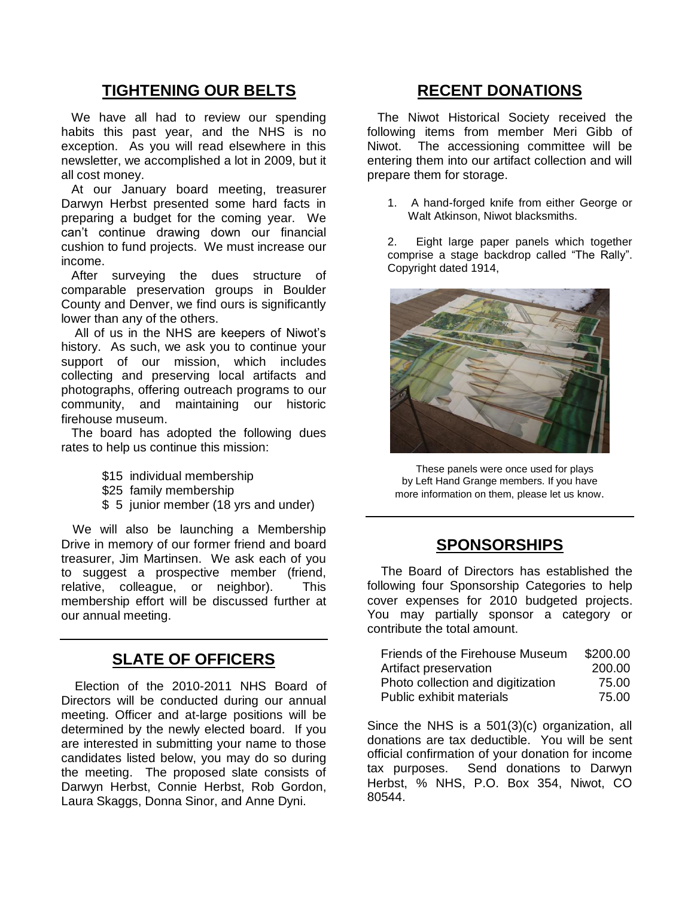## **TIGHTENING OUR BELTS**

 We have all had to review our spending habits this past year, and the NHS is no exception. As you will read elsewhere in this newsletter, we accomplished a lot in 2009, but it all cost money.

 At our January board meeting, treasurer Darwyn Herbst presented some hard facts in preparing a budget for the coming year. We can't continue drawing down our financial cushion to fund projects. We must increase our income.

 After surveying the dues structure of comparable preservation groups in Boulder County and Denver, we find ours is significantly lower than any of the others.

 All of us in the NHS are keepers of Niwot's history. As such, we ask you to continue your support of our mission, which includes collecting and preserving local artifacts and photographs, offering outreach programs to our community, and maintaining our historic firehouse museum.

 The board has adopted the following dues rates to help us continue this mission:

- \$15 individual membership
- \$25 family membership
- \$ 5 junior member (18 yrs and under)

 We will also be launching a Membership Drive in memory of our former friend and board treasurer, Jim Martinsen. We ask each of you to suggest a prospective member (friend, relative, colleague, or neighbor). This membership effort will be discussed further at our annual meeting.

## **SLATE OF OFFICERS**

 Election of the 2010-2011 NHS Board of Directors will be conducted during our annual meeting. Officer and at-large positions will be determined by the newly elected board. If you are interested in submitting your name to those candidates listed below, you may do so during the meeting. The proposed slate consists of Darwyn Herbst, Connie Herbst, Rob Gordon, Laura Skaggs, Donna Sinor, and Anne Dyni.

#### **RECENT DONATIONS**

 The Niwot Historical Society received the following items from member Meri Gibb of Niwot. The accessioning committee will be entering them into our artifact collection and will prepare them for storage.

1. A hand-forged knife from either George or Walt Atkinson, Niwot blacksmiths.

2. Eight large paper panels which together comprise a stage backdrop called "The Rally". Copyright dated 1914,



 These panels were once used for plays by Left Hand Grange members. If you have more information on them, please let us know.

#### **SPONSORSHIPS**

 The Board of Directors has established the following four Sponsorship Categories to help cover expenses for 2010 budgeted projects. You may partially sponsor a category or contribute the total amount.

| Friends of the Firehouse Museum   | \$200.00 |
|-----------------------------------|----------|
| Artifact preservation             | 200.00   |
| Photo collection and digitization | 75.00    |
| Public exhibit materials          | 75.00    |

Since the NHS is a 501(3)(c) organization, all donations are tax deductible. You will be sent official confirmation of your donation for income tax purposes. Send donations to Darwyn Herbst, % NHS, P.O. Box 354, Niwot, CO 80544.